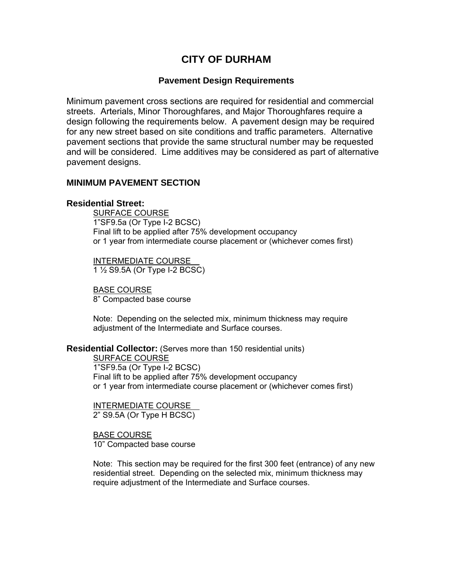# **CITY OF DURHAM**

### **Pavement Design Requirements**

Minimum pavement cross sections are required for residential and commercial streets. Arterials, Minor Thoroughfares, and Major Thoroughfares require a design following the requirements below. A pavement design may be required for any new street based on site conditions and traffic parameters. Alternative pavement sections that provide the same structural number may be requested and will be considered. Lime additives may be considered as part of alternative pavement designs.

#### **MINIMUM PAVEMENT SECTION**

#### **Residential Street:**

SURFACE COURSE 1"SF9.5a (Or Type I-2 BCSC) Final lift to be applied after 75% development occupancy or 1 year from intermediate course placement or (whichever comes first)

 INTERMEDIATE COURSE 1 ½ S9.5A (Or Type I-2 BCSC)

 BASE COURSE 8" Compacted base course

Note: Depending on the selected mix, minimum thickness may require adjustment of the Intermediate and Surface courses.

#### **Residential Collector:** (Serves more than 150 residential units)

SURFACE COURSE 1"SF9.5a (Or Type I-2 BCSC) Final lift to be applied after 75% development occupancy or 1 year from intermediate course placement or (whichever comes first)

 INTERMEDIATE COURSE 2" S9.5A (Or Type H BCSC)

 BASE COURSE 10" Compacted base course

Note: This section may be required for the first 300 feet (entrance) of any new residential street. Depending on the selected mix, minimum thickness may require adjustment of the Intermediate and Surface courses.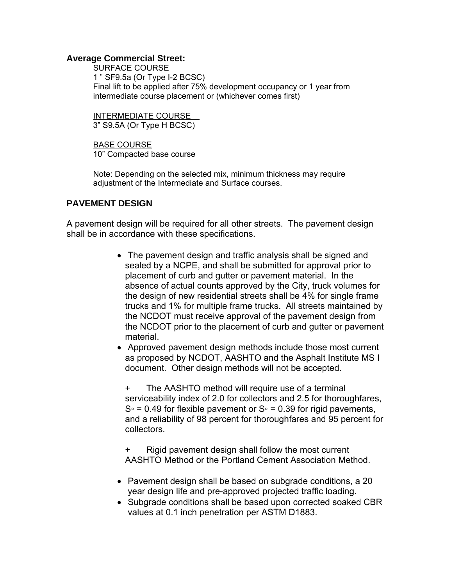#### **Average Commercial Street:**

SURFACE COURSE 1 " SF9.5a (Or Type I-2 BCSC) Final lift to be applied after 75% development occupancy or 1 year from intermediate course placement or (whichever comes first)

 INTERMEDIATE COURSE 3" S9.5A (Or Type H BCSC)

 BASE COURSE 10" Compacted base course

Note: Depending on the selected mix, minimum thickness may require adjustment of the Intermediate and Surface courses.

## **PAVEMENT DESIGN**

A pavement design will be required for all other streets. The pavement design shall be in accordance with these specifications.

> • The pavement design and traffic analysis shall be signed and sealed by a NCPE, and shall be submitted for approval prior to placement of curb and gutter or pavement material. In the absence of actual counts approved by the City, truck volumes for the design of new residential streets shall be 4% for single frame trucks and 1% for multiple frame trucks. All streets maintained by the NCDOT must receive approval of the pavement design from the NCDOT prior to the placement of curb and gutter or pavement material.

• Approved pavement design methods include those most current as proposed by NCDOT, AASHTO and the Asphalt Institute MS I document. Other design methods will not be accepted.

+ The AASHTO method will require use of a terminal serviceability index of 2.0 for collectors and 2.5 for thoroughfares,  $S<sup>°</sup> = 0.49$  for flexible pavement or  $S<sup>°</sup> = 0.39$  for rigid pavements, and a reliability of 98 percent for thoroughfares and 95 percent for collectors.

+ Rigid pavement design shall follow the most current AASHTO Method or the Portland Cement Association Method.

- Pavement design shall be based on subgrade conditions, a 20 year design life and pre-approved projected traffic loading.
- Subgrade conditions shall be based upon corrected soaked CBR values at 0.1 inch penetration per ASTM D1883.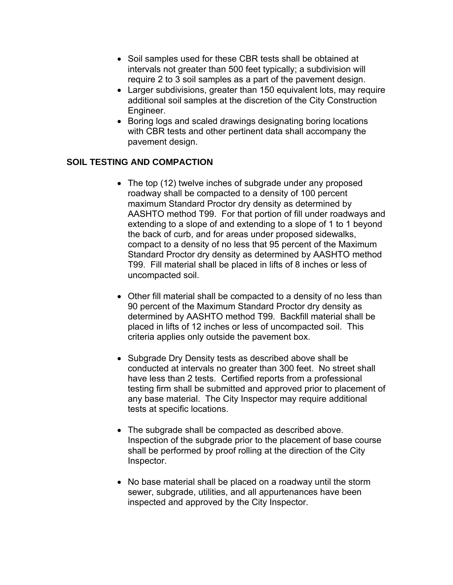- Soil samples used for these CBR tests shall be obtained at intervals not greater than 500 feet typically; a subdivision will require 2 to 3 soil samples as a part of the pavement design.
- Larger subdivisions, greater than 150 equivalent lots, may require additional soil samples at the discretion of the City Construction Engineer.
- Boring logs and scaled drawings designating boring locations with CBR tests and other pertinent data shall accompany the pavement design.

## **SOIL TESTING AND COMPACTION**

- The top (12) twelve inches of subgrade under any proposed roadway shall be compacted to a density of 100 percent maximum Standard Proctor dry density as determined by AASHTO method T99. For that portion of fill under roadways and extending to a slope of and extending to a slope of 1 to 1 beyond the back of curb, and for areas under proposed sidewalks, compact to a density of no less that 95 percent of the Maximum Standard Proctor dry density as determined by AASHTO method T99. Fill material shall be placed in lifts of 8 inches or less of uncompacted soil.
- Other fill material shall be compacted to a density of no less than 90 percent of the Maximum Standard Proctor dry density as determined by AASHTO method T99. Backfill material shall be placed in lifts of 12 inches or less of uncompacted soil. This criteria applies only outside the pavement box.
- Subgrade Dry Density tests as described above shall be conducted at intervals no greater than 300 feet. No street shall have less than 2 tests. Certified reports from a professional testing firm shall be submitted and approved prior to placement of any base material. The City Inspector may require additional tests at specific locations.
- The subgrade shall be compacted as described above. Inspection of the subgrade prior to the placement of base course shall be performed by proof rolling at the direction of the City Inspector.
- No base material shall be placed on a roadway until the storm sewer, subgrade, utilities, and all appurtenances have been inspected and approved by the City Inspector.